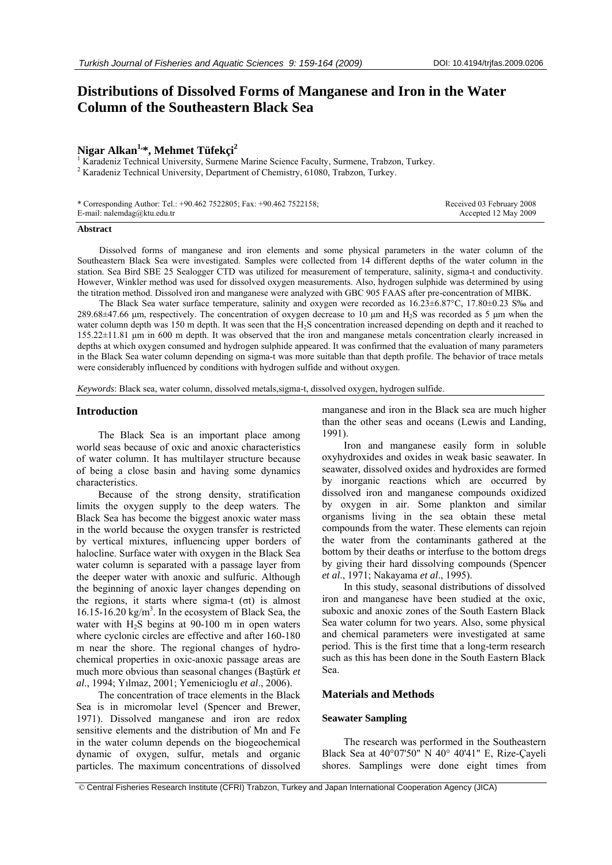# **Distributions of Dissolved Forms of Manganese and Iron in the Water Column of the Southeastern Black Sea**

# Nigar Alkan<sup>1,\*</sup>, Mehmet Tüfekçi<sup>2</sup>

<sup>1</sup> Karadeniz Technical University, Surmene Marine Science Faculty, Surmene, Trabzon, Turkey.  $2^{2}$  Karadeniz Technical University, Department of Chemistry, 61080, Trabzon, Turkey.

| * Corresponding Author: Tel.: +90.462 7522805; Fax: +90.462 7522158; |  |
|----------------------------------------------------------------------|--|
| E-mail: nalemdag@ktu.edu.tr                                          |  |

 Received 03 February 2008 Accepted 12 May 2009

#### **Abstract**

Dissolved forms of manganese and iron elements and some physical parameters in the water column of the Southeastern Black Sea were investigated. Samples were collected from 14 different depths of the water column in the station. Sea Bird SBE 25 Sealogger CTD was utilized for measurement of temperature, salinity, sigma-t and conductivity. However, Winkler method was used for dissolved oxygen measurements. Also, hydrogen sulphide was determined by using the titration method. Dissolved iron and manganese were analyzed with GBC 905 FAAS after pre-concentration of MIBK.

The Black Sea water surface temperature, salinity and oxygen were recorded as 16.23±6.87°C, 17.80±0.23 S‰ and 289.68±47.66 μm, respectively. The concentration of oxygen decrease to 10 μm and H2S was recorded as 5 μm when the water column depth was 150 m depth. It was seen that the H<sub>2</sub>S concentration increased depending on depth and it reached to 155.22±11.81 μm in 600 m depth. It was observed that the iron and manganese metals concentration clearly increased in depths at which oxygen consumed and hydrogen sulphide appeared. It was confirmed that the evaluation of many parameters in the Black Sea water column depending on sigma-t was more suitable than that depth profile. The behavior of trace metals were considerably influenced by conditions with hydrogen sulfide and without oxygen.

*Keywords*: Black sea, water column, dissolved metals,sigma-t, dissolved oxygen, hydrogen sulfide.

#### **Introduction**

The Black Sea is an important place among world seas because of oxic and anoxic characteristics of water column. It has multilayer structure because of being a close basin and having some dynamics characteristics.

Because of the strong density, stratification limits the oxygen supply to the deep waters. The Black Sea has become the biggest anoxic water mass in the world because the oxygen transfer is restricted by vertical mixtures, influencing upper borders of halocline. Surface water with oxygen in the Black Sea water column is separated with a passage layer from the deeper water with anoxic and sulfuric. Although the beginning of anoxic layer changes depending on the regions, it starts where sigma-t (σt) is almost 16.15-16.20 kg/m3 . In the ecosystem of Black Sea, the water with H2S begins at 90-100 m in open waters where cyclonic circles are effective and after 160-180 m near the shore. The regional changes of hydrochemical properties in oxic-anoxic passage areas are much more obvious than seasonal changes (Baştürk *et al*., 1994; Yılmaz, 2001; Yemenicioglu *et al*., 2006).

The concentration of trace elements in the Black Sea is in micromolar level (Spencer and Brewer, 1971). Dissolved manganese and iron are redox sensitive elements and the distribution of Mn and Fe in the water column depends on the biogeochemical dynamic of oxygen, sulfur, metals and organic particles. The maximum concentrations of dissolved

manganese and iron in the Black sea are much higher than the other seas and oceans (Lewis and Landing, 1991).

Iron and manganese easily form in soluble oxyhydroxides and oxides in weak basic seawater. In seawater, dissolved oxides and hydroxides are formed by inorganic reactions which are occurred by dissolved iron and manganese compounds oxidized by oxygen in air. Some plankton and similar organisms living in the sea obtain these metal compounds from the water. These elements can rejoin the water from the contaminants gathered at the bottom by their deaths or interfuse to the bottom dregs by giving their hard dissolving compounds (Spencer *et al*., 1971; Nakayama *et al*., 1995).

In this study, seasonal distributions of dissolved iron and manganese have been studied at the oxic, suboxic and anoxic zones of the South Eastern Black Sea water column for two years. Also, some physical and chemical parameters were investigated at same period. This is the first time that a long-term research such as this has been done in the South Eastern Black Sea.

#### **Materials and Methods**

## **Seawater Sampling**

The research was performed in the Southeastern Black Sea at 40°07'50" N 40° 40'41" E, Rize-Çayeli shores. Samplings were done eight times from

 <sup>©</sup> Central Fisheries Research Institute (CFRI) Trabzon, Turkey and Japan International Cooperation Agency (JICA)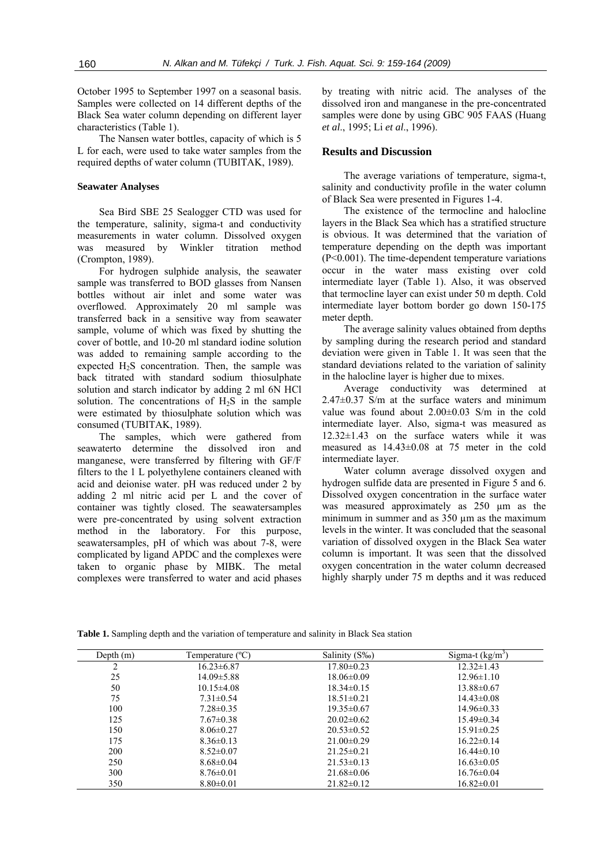October 1995 to September 1997 on a seasonal basis. Samples were collected on 14 different depths of the Black Sea water column depending on different layer characteristics (Table 1).

The Nansen water bottles, capacity of which is 5 L for each, were used to take water samples from the required depths of water column (TUBITAK, 1989).

#### **Seawater Analyses**

Sea Bird SBE 25 Sealogger CTD was used for the temperature, salinity, sigma-t and conductivity measurements in water column. Dissolved oxygen was measured by Winkler titration method (Crompton, 1989).

For hydrogen sulphide analysis, the seawater sample was transferred to BOD glasses from Nansen bottles without air inlet and some water was overflowed. Approximately 20 ml sample was transferred back in a sensitive way from seawater sample, volume of which was fixed by shutting the cover of bottle, and 10-20 ml standard iodine solution was added to remaining sample according to the expected  $H_2S$  concentration. Then, the sample was back titrated with standard sodium thiosulphate solution and starch indicator by adding 2 ml 6N HCl solution. The concentrations of  $H<sub>2</sub>S$  in the sample were estimated by thiosulphate solution which was consumed (TUBITAK, 1989).

The samples, which were gathered from seawaterto determine the dissolved iron and manganese, were transferred by filtering with GF/F filters to the 1 L polyethylene containers cleaned with acid and deionise water. pH was reduced under 2 by adding 2 ml nitric acid per L and the cover of container was tightly closed. The seawatersamples were pre-concentrated by using solvent extraction method in the laboratory. For this purpose, seawatersamples, pH of which was about 7-8, were complicated by ligand APDC and the complexes were taken to organic phase by MIBK. The metal complexes were transferred to water and acid phases

by treating with nitric acid. The analyses of the dissolved iron and manganese in the pre-concentrated samples were done by using GBC 905 FAAS (Huang *et al*., 1995; Li *et al*., 1996).

#### **Results and Discussion**

The average variations of temperature, sigma-t, salinity and conductivity profile in the water column of Black Sea were presented in Figures 1-4.

The existence of the termocline and halocline layers in the Black Sea which has a stratified structure is obvious. It was determined that the variation of temperature depending on the depth was important (P<0.001). The time-dependent temperature variations occur in the water mass existing over cold intermediate layer (Table 1). Also, it was observed that termocline layer can exist under 50 m depth. Cold intermediate layer bottom border go down 150-175 meter depth.

The average salinity values obtained from depths by sampling during the research period and standard deviation were given in Table 1. It was seen that the standard deviations related to the variation of salinity in the halocline layer is higher due to mixes.

Average conductivity was determined at  $2.47\pm0.37$  S/m at the surface waters and minimum value was found about 2.00±0.03 S/m in the cold intermediate layer. Also, sigma-t was measured as 12.32±1.43 on the surface waters while it was measured as 14.43±0.08 at 75 meter in the cold intermediate layer.

Water column average dissolved oxygen and hydrogen sulfide data are presented in Figure 5 and 6. Dissolved oxygen concentration in the surface water was measured approximately as 250  $\mu$ m as the minimum in summer and as 350 µm as the maximum levels in the winter. It was concluded that the seasonal variation of dissolved oxygen in the Black Sea water column is important. It was seen that the dissolved oxygen concentration in the water column decreased highly sharply under 75 m depths and it was reduced

| Depth $(m)$    | Temperature $(^{\circ}C)$ | Salinity (S‰)    | Sigma-t $(kg/m^3)$ |
|----------------|---------------------------|------------------|--------------------|
| $\overline{2}$ | $16.23 \pm 6.87$          | $17.80 \pm 0.23$ | $12.32 \pm 1.43$   |
| 25             | $14.09 \pm 5.88$          | $18.06 \pm 0.09$ | $12.96 \pm 1.10$   |
| 50             | $10.15 \pm 4.08$          | $18.34 \pm 0.15$ | $13.88 \pm 0.67$   |
| 75             | $7.31 \pm 0.54$           | $18.51 \pm 0.21$ | $14.43 \pm 0.08$   |
| 100            | $7.28 \pm 0.35$           | $19.35 \pm 0.67$ | $14.96 \pm 0.33$   |
| 125            | $7.67 \pm 0.38$           | $20.02 \pm 0.62$ | $15.49 \pm 0.34$   |
| 150            | $8.06 \pm 0.27$           | $20.53 \pm 0.52$ | $15.91 \pm 0.25$   |
| 175            | $8.36 \pm 0.13$           | $21.00 \pm 0.29$ | $16.22 \pm 0.14$   |
| <b>200</b>     | $8.52 \pm 0.07$           | $21.25 \pm 0.21$ | $16.44 \pm 0.10$   |
| 250            | $8.68 \pm 0.04$           | $21.53 \pm 0.13$ | $16.63 \pm 0.05$   |
| 300            | $8.76 \pm 0.01$           | $21.68 \pm 0.06$ | $16.76 \pm 0.04$   |
| 350            | $8.80\pm0.01$             | $21.82 \pm 0.12$ | $16.82 \pm 0.01$   |

**Table 1.** Sampling depth and the variation of temperature and salinity in Black Sea station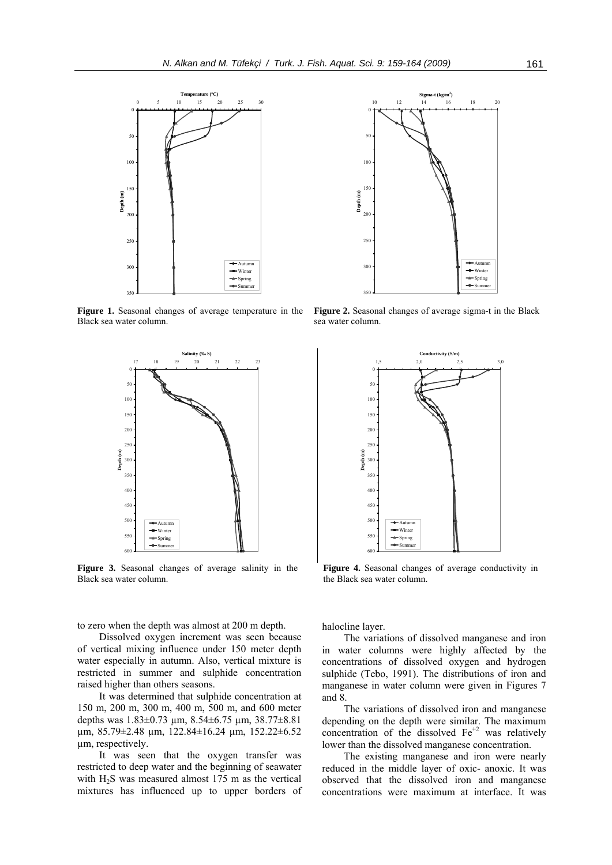

**Figure 1.** Seasonal changes of average temperature in the Black sea water column.



**Figure 3.** Seasonal changes of average salinity in the Black sea water column.

to zero when the depth was almost at 200 m depth.

Dissolved oxygen increment was seen because of vertical mixing influence under 150 meter depth water especially in autumn. Also, vertical mixture is restricted in summer and sulphide concentration raised higher than others seasons.

It was determined that sulphide concentration at 150 m, 200 m, 300 m, 400 m, 500 m, and 600 meter depths was 1.83±0.73 µm, 8.54±6.75 µm, 38.77±8.81 µm, 85.79±2.48 µm, 122.84±16.24 µm, 152.22±6.52 µm, respectively.

It was seen that the oxygen transfer was restricted to deep water and the beginning of seawater with  $H_2S$  was measured almost 175 m as the vertical mixtures has influenced up to upper borders of



**Figure 2.** Seasonal changes of average sigma-t in the Black sea water column.



Figure 4. Seasonal changes of average conductivity in the Black sea water column.

halocline layer.

The variations of dissolved manganese and iron in water columns were highly affected by the concentrations of dissolved oxygen and hydrogen sulphide (Tebo, 1991). The distributions of iron and manganese in water column were given in Figures 7 and 8.

The variations of dissolved iron and manganese depending on the depth were similar. The maximum concentration of the dissolved  $Fe<sup>+2</sup>$  was relatively lower than the dissolved manganese concentration.

The existing manganese and iron were nearly reduced in the middle layer of oxic- anoxic. It was observed that the dissolved iron and manganese concentrations were maximum at interface. It was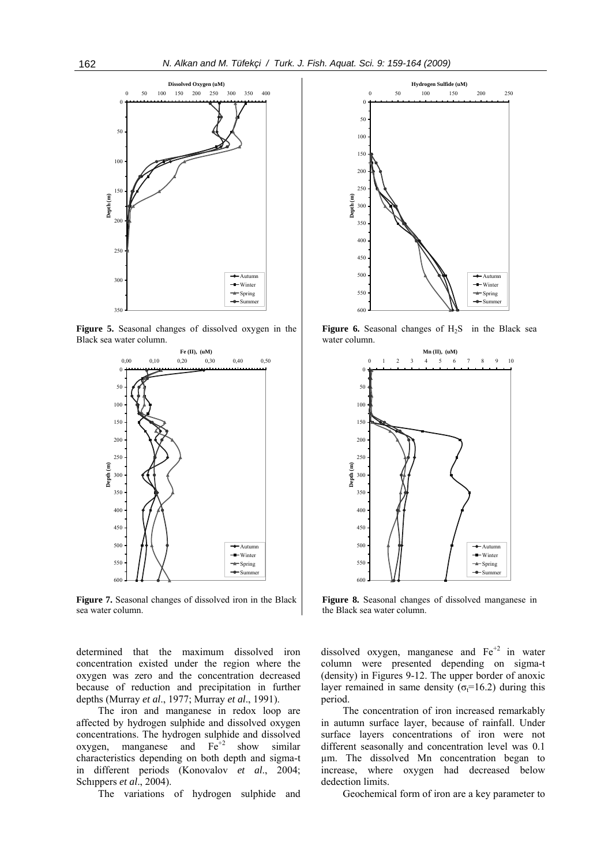

**Figure 5.** Seasonal changes of dissolved oxygen in the Black sea water column.



**Figure 7.** Seasonal changes of dissolved iron in the Black sea water column.

determined that the maximum dissolved iron concentration existed under the region where the oxygen was zero and the concentration decreased because of reduction and precipitation in further depths (Murray *et al*., 1977; Murray *et al*., 1991).

The iron and manganese in redox loop are affected by hydrogen sulphide and dissolved oxygen concentrations. The hydrogen sulphide and dissolved oxygen, manganese and  $Fe<sup>+2</sup>$  show similar characteristics depending on both depth and sigma-t in different periods (Konovalov *et al*., 2004; Schıppers *et al*., 2004).

The variations of hydrogen sulphide and



**Figure 6.** Seasonal changes of H<sub>2</sub>S in the Black sea water column.



**Figure 8.** Seasonal changes of dissolved manganese in the Black sea water column.

dissolved oxygen, manganese and  $Fe<sup>+2</sup>$  in water column were presented depending on sigma-t (density) in Figures 9-12. The upper border of anoxic layer remained in same density ( $\sigma$ <sub>t</sub>=16.2) during this period.

The concentration of iron increased remarkably in autumn surface layer, because of rainfall. Under surface layers concentrations of iron were not different seasonally and concentration level was 0.1 µm. The dissolved Mn concentration began to increase, where oxygen had decreased below dedection limits.

Geochemical form of iron are a key parameter to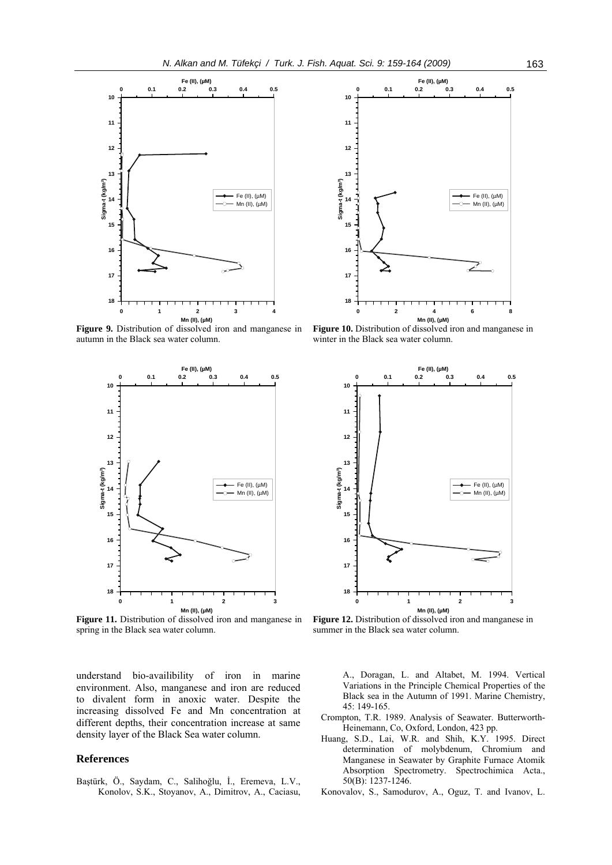

**Figure 9.** Distribution of dissolved iron and manganese in autumn in the Black sea water column.



**Figure 11.** Distribution of dissolved iron and manganese in spring in the Black sea water column.

understand bio-availibility of iron in marine environment. Also, manganese and iron are reduced to divalent form in anoxic water. Despite the increasing dissolved Fe and Mn concentration at different depths, their concentration increase at same density layer of the Black Sea water column.

## **References**

Baştürk, Ö., Saydam, C., Salihoğlu, İ., Eremeva, L.V., Konolov, S.K., Stoyanov, A., Dimitrov, A., Caciasu,



**Figure 10.** Distribution of dissolved iron and manganese in winter in the Black sea water column.



Figure 12. Distribution of dissolved iron and manganese in summer in the Black sea water column.

A., Doragan, L. and Altabet, M. 1994. Vertical Variations in the Principle Chemical Properties of the Black sea in the Autumn of 1991. Marine Chemistry, 45: 149-165.

- Crompton, T.R. 1989. Analysis of Seawater. Butterworth-Heinemann, Co, Oxford, London, 423 pp.
- Huang, S.D., Lai, W.R. and Shih, K.Y. 1995. Direct determination of molybdenum, Chromium and Manganese in Seawater by Graphite Furnace Atomik Absorption Spectrometry. Spectrochimica Acta., 50(B): 1237-1246.
- Konovalov, S., Samodurov, A., Oguz, T. and Ivanov, L.